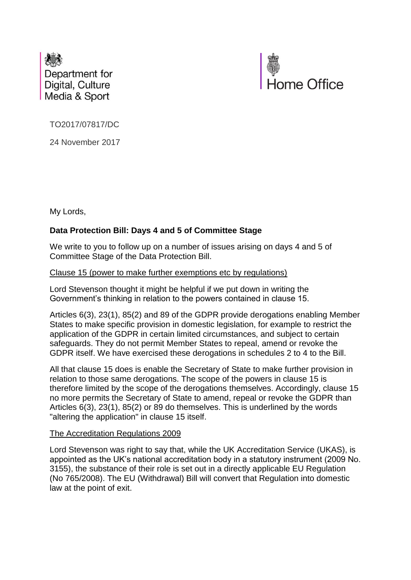



TO2017/07817/DC

24 November 2017

My Lords,

# **Data Protection Bill: Days 4 and 5 of Committee Stage**

We write to you to follow up on a number of issues arising on days 4 and 5 of Committee Stage of the Data Protection Bill.

# Clause 15 (power to make further exemptions etc by regulations)

Lord Stevenson thought it might be helpful if we put down in writing the Government's thinking in relation to the powers contained in clause 15.

Articles 6(3), 23(1), 85(2) and 89 of the GDPR provide derogations enabling Member States to make specific provision in domestic legislation, for example to restrict the application of the GDPR in certain limited circumstances, and subject to certain safeguards. They do not permit Member States to repeal, amend or revoke the GDPR itself. We have exercised these derogations in schedules 2 to 4 to the Bill.

All that clause 15 does is enable the Secretary of State to make further provision in relation to those same derogations. The scope of the powers in clause 15 is therefore limited by the scope of the derogations themselves. Accordingly, clause 15 no more permits the Secretary of State to amend, repeal or revoke the GDPR than Articles 6(3), 23(1), 85(2) or 89 do themselves. This is underlined by the words "altering the application" in clause 15 itself.

# The Accreditation Regulations 2009

Lord Stevenson was right to say that, while the UK Accreditation Service (UKAS), is appointed as the UK's national accreditation body in a statutory instrument (2009 No. 3155), the substance of their role is set out in a directly applicable EU Regulation (No 765/2008). The EU (Withdrawal) Bill will convert that Regulation into domestic law at the point of exit.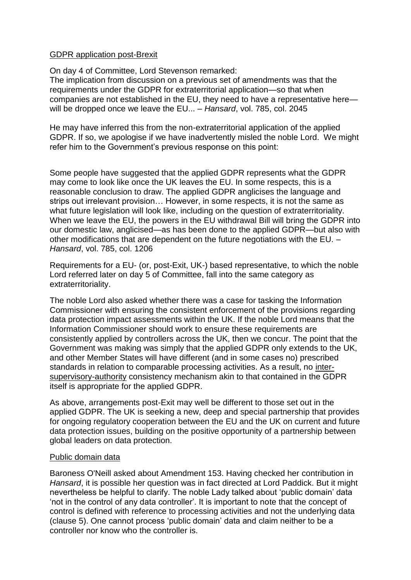# GDPR application post-Brexit

On day 4 of Committee, Lord Stevenson remarked: The implication from discussion on a previous set of amendments was that the requirements under the GDPR for extraterritorial application—so that when companies are not established in the EU, they need to have a representative here will be dropped once we leave the EU... – *Hansard*, vol. 785, col. 2045

He may have inferred this from the non-extraterritorial application of the applied GDPR. If so, we apologise if we have inadvertently misled the noble Lord. We might refer him to the Government's previous response on this point:

Some people have suggested that the applied GDPR represents what the GDPR may come to look like once the UK leaves the EU. In some respects, this is a reasonable conclusion to draw. The applied GDPR anglicises the language and strips out irrelevant provision… However, in some respects, it is not the same as what future legislation will look like, including on the question of extraterritoriality. When we leave the EU, the powers in the EU withdrawal Bill will bring the GDPR into our domestic law, anglicised—as has been done to the applied GDPR—but also with other modifications that are dependent on the future negotiations with the EU. – *Hansard*, vol. 785, col. 1206

Requirements for a EU- (or, post-Exit, UK-) based representative, to which the noble Lord referred later on day 5 of Committee, fall into the same category as extraterritoriality.

The noble Lord also asked whether there was a case for tasking the Information Commissioner with ensuring the consistent enforcement of the provisions regarding data protection impact assessments within the UK. If the noble Lord means that the Information Commissioner should work to ensure these requirements are consistently applied by controllers across the UK, then we concur. The point that the Government was making was simply that the applied GDPR only extends to the UK, and other Member States will have different (and in some cases no) prescribed standards in relation to comparable processing activities. As a result, no intersupervisory-authority consistency mechanism akin to that contained in the GDPR itself is appropriate for the applied GDPR.

As above, arrangements post-Exit may well be different to those set out in the applied GDPR. The UK is seeking a new, deep and special partnership that provides for ongoing regulatory cooperation between the EU and the UK on current and future data protection issues, building on the positive opportunity of a partnership between global leaders on data protection.

# Public domain data

Baroness O'Neill asked about Amendment 153. Having checked her contribution in *Hansard*, it is possible her question was in fact directed at Lord Paddick. But it might nevertheless be helpful to clarify. The noble Lady talked about 'public domain' data 'not in the control of any data controller'. It is important to note that the concept of control is defined with reference to processing activities and not the underlying data (clause 5). One cannot process 'public domain' data and claim neither to be a controller nor know who the controller is.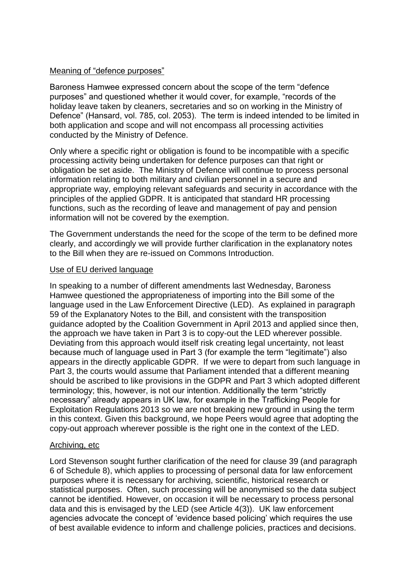# Meaning of "defence purposes"

Baroness Hamwee expressed concern about the scope of the term "defence purposes" and questioned whether it would cover, for example, "records of the holiday leave taken by cleaners, secretaries and so on working in the Ministry of Defence" (Hansard, vol. 785, col. 2053). The term is indeed intended to be limited in both application and scope and will not encompass all processing activities conducted by the Ministry of Defence.

Only where a specific right or obligation is found to be incompatible with a specific processing activity being undertaken for defence purposes can that right or obligation be set aside. The Ministry of Defence will continue to process personal information relating to both military and civilian personnel in a secure and appropriate way, employing relevant safeguards and security in accordance with the principles of the applied GDPR. It is anticipated that standard HR processing functions, such as the recording of leave and management of pay and pension information will not be covered by the exemption.

The Government understands the need for the scope of the term to be defined more clearly, and accordingly we will provide further clarification in the explanatory notes to the Bill when they are re-issued on Commons Introduction.

# Use of EU derived language

In speaking to a number of different amendments last Wednesday, Baroness Hamwee questioned the appropriateness of importing into the Bill some of the language used in the Law Enforcement Directive (LED). As explained in paragraph 59 of the Explanatory Notes to the Bill, and consistent with the transposition guidance adopted by the Coalition Government in April 2013 and applied since then, the approach we have taken in Part 3 is to copy-out the LED wherever possible. Deviating from this approach would itself risk creating legal uncertainty, not least because much of language used in Part 3 (for example the term "legitimate") also appears in the directly applicable GDPR. If we were to depart from such language in Part 3, the courts would assume that Parliament intended that a different meaning should be ascribed to like provisions in the GDPR and Part 3 which adopted different terminology; this, however, is not our intention. Additionally the term "strictly necessary" already appears in UK law, for example in the Trafficking People for Exploitation Regulations 2013 so we are not breaking new ground in using the term in this context. Given this background, we hope Peers would agree that adopting the copy-out approach wherever possible is the right one in the context of the LED.

# Archiving, etc

Lord Stevenson sought further clarification of the need for clause 39 (and paragraph 6 of Schedule 8), which applies to processing of personal data for law enforcement purposes where it is necessary for archiving, scientific, historical research or statistical purposes. Often, such processing will be anonymised so the data subject cannot be identified. However, on occasion it will be necessary to process personal data and this is envisaged by the LED (see Article 4(3)). UK law enforcement agencies advocate the concept of 'evidence based policing' which requires the use of best available evidence to inform and challenge policies, practices and decisions.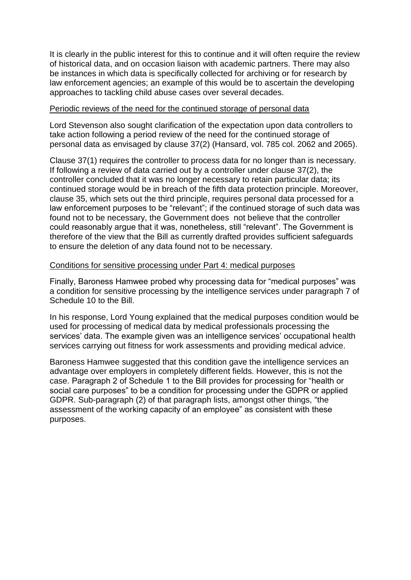It is clearly in the public interest for this to continue and it will often require the review of historical data, and on occasion liaison with academic partners. There may also be instances in which data is specifically collected for archiving or for research by law enforcement agencies; an example of this would be to ascertain the developing approaches to tackling child abuse cases over several decades.

### Periodic reviews of the need for the continued storage of personal data

Lord Stevenson also sought clarification of the expectation upon data controllers to take action following a period review of the need for the continued storage of personal data as envisaged by clause 37(2) (Hansard, vol. 785 col. 2062 and 2065).

Clause 37(1) requires the controller to process data for no longer than is necessary. If following a review of data carried out by a controller under clause 37(2), the controller concluded that it was no longer necessary to retain particular data; its continued storage would be in breach of the fifth data protection principle. Moreover, clause 35, which sets out the third principle, requires personal data processed for a law enforcement purposes to be "relevant"; if the continued storage of such data was found not to be necessary, the Government does not believe that the controller could reasonably argue that it was, nonetheless, still "relevant". The Government is therefore of the view that the Bill as currently drafted provides sufficient safeguards to ensure the deletion of any data found not to be necessary.

#### Conditions for sensitive processing under Part 4: medical purposes

Finally, Baroness Hamwee probed why processing data for "medical purposes" was a condition for sensitive processing by the intelligence services under paragraph 7 of Schedule 10 to the Bill.

In his response, Lord Young explained that the medical purposes condition would be used for processing of medical data by medical professionals processing the services' data. The example given was an intelligence services' occupational health services carrying out fitness for work assessments and providing medical advice.

Baroness Hamwee suggested that this condition gave the intelligence services an advantage over employers in completely different fields. However, this is not the case. Paragraph 2 of Schedule 1 to the Bill provides for processing for "health or social care purposes" to be a condition for processing under the GDPR or applied GDPR. Sub-paragraph (2) of that paragraph lists, amongst other things, "the assessment of the working capacity of an employee" as consistent with these purposes.